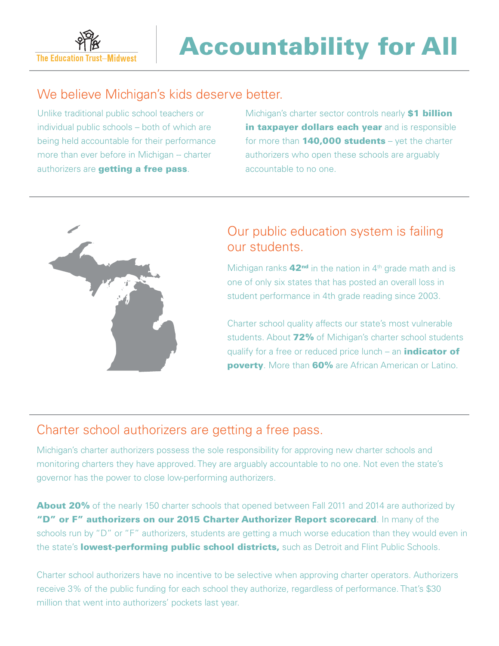

# We believe Michigan's kids deserve better.

Unlike traditional public school teachers or individual public schools – both of which are being held accountable for their performance more than ever before in Michigan -- charter authorizers are getting a free pass.

Michigan's charter sector controls nearly **\$1 billion** in taxpayer dollars each year and is responsible for more than  $140,000$  students – yet the charter authorizers who open these schools are arguably accountable to no one.



# Our public education system is failing our students.

Michigan ranks  $42<sup>nd</sup>$  in the nation in  $4<sup>th</sup>$  grade math and is one of only six states that has posted an overall loss in student performance in 4th grade reading since 2003.

Charter school quality affects our state's most vulnerable students. About 72% of Michigan's charter school students qualify for a free or reduced price lunch – an *indicator* of poverty. More than 60% are African American or Latino.

#### Charter school authorizers are getting a free pass.

Michigan's charter authorizers possess the sole responsibility for approving new charter schools and monitoring charters they have approved. They are arguably accountable to no one. Not even the state's governor has the power to close low-performing authorizers.

About 20% of the nearly 150 charter schools that opened between Fall 2011 and 2014 are authorized by "D" or F" authorizers on our 2015 Charter Authorizer Report scorecard. In many of the schools run by "D" or "F" authorizers, students are getting a much worse education than they would even in the state's lowest-performing public school districts, such as Detroit and Flint Public Schools.

Charter school authorizers have no incentive to be selective when approving charter operators. Authorizers receive 3% of the public funding for each school they authorize, regardless of performance. That's \$30 million that went into authorizers' pockets last year.